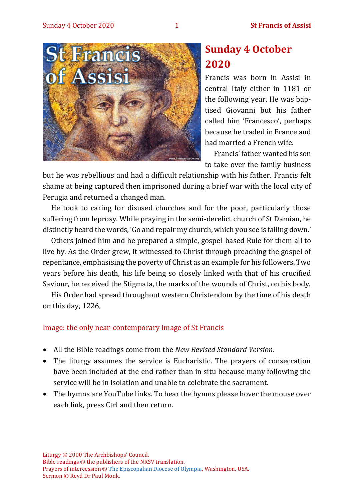

## **Sunday 4 October 2020**

Francis was born in Assisi in central Italy either in 1181 or the following year. He was baptised Giovanni but his father called him 'Francesco', perhaps because he traded in France and had married a French wife.

Francis' father wanted his son to take over the family business

but he was rebellious and had a difficult relationship with his father. Francis felt shame at being captured then imprisoned during a brief war with the local city of Perugia and returned a changed man.

He took to caring for disused churches and for the poor, particularly those suffering from leprosy. While praying in the semi-derelict church of St Damian, he distinctly heard the words, 'Go and repair my church, which you see is falling down.'

Others joined him and he prepared a simple, gospel-based Rule for them all to live by. As the Order grew, it witnessed to Christ through preaching the gospel of repentance, emphasising the poverty of Christ as an example for his followers. Two years before his death, his life being so closely linked with that of his crucified Saviour, he received the Stigmata, the marks of the wounds of Christ, on his body.

His Order had spread throughout western Christendom by the time of his death on this day, 1226,

#### Image: the only near-contemporary image of St Francis

- All the Bible readings come from the *New Revised Standard Version*.
- The liturgy assumes the service is Eucharistic. The prayers of consecration have been included at the end rather than in situ because many following the service will be in isolation and unable to celebrate the sacrament.
- The hymns are YouTube links. To hear the hymns please hover the mouse over each link, press Ctrl and then return.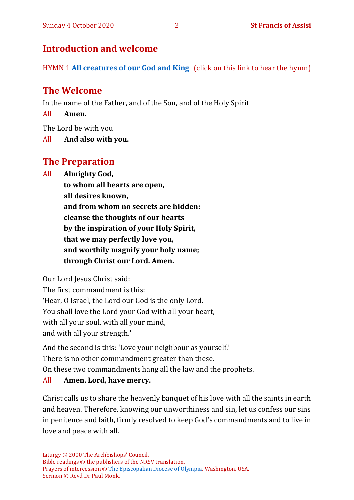## **Introduction and welcome**

HYMN 1 **[All creatures of our God and King](https://www.youtube.com/watch?v=0d3gO6qDLNA)** (click on this link to hear the hymn)

## **The Welcome**

In the name of the Father, and of the Son, and of the Holy Spirit

All **Amen.**

The Lord be with you

All **And also with you.**

## **The Preparation**

All **Almighty God,**

**to whom all hearts are open, all desires known, and from whom no secrets are hidden: cleanse the thoughts of our hearts by the inspiration of your Holy Spirit, that we may perfectly love you, and worthily magnify your holy name; through Christ our Lord. Amen.**

Our Lord Jesus Christ said:

The first commandment is this: 'Hear, O Israel, the Lord our God is the only Lord. You shall love the Lord your God with all your heart, with all your soul, with all your mind, and with all your strength.'

And the second is this: 'Love your neighbour as yourself.' There is no other commandment greater than these. On these two commandments hang all the law and the prophets.

#### All **Amen. Lord, have mercy.**

Christ calls us to share the heavenly banquet of his love with all the saints in earth and heaven. Therefore, knowing our unworthiness and sin, let us confess our sins in penitence and faith, firmly resolved to keep God's commandments and to live in love and peace with all.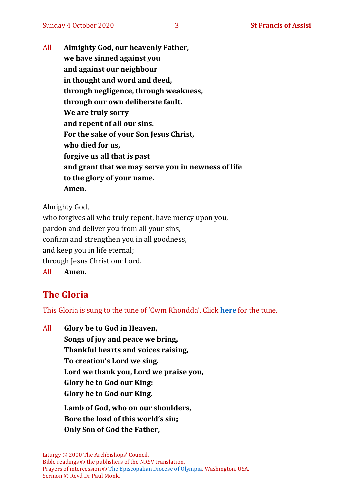All **Almighty God, our heavenly Father, we have sinned against you and against our neighbour in thought and word and deed, through negligence, through weakness, through our own deliberate fault. We are truly sorry and repent of all our sins. For the sake of your Son Jesus Christ, who died for us, forgive us all that is past and grant that we may serve you in newness of life to the glory of your name. Amen.**

Almighty God,

who forgives all who truly repent, have mercy upon you, pardon and deliver you from all your sins, confirm and strengthen you in all goodness, and keep you in life eternal; through Jesus Christ our Lord. All **Amen.**

## **The Gloria**

This Gloria is sung to the tune of 'Cwm Rhondda'. Click **[here](about:blank)** for the tune.

All **Glory be to God in Heaven, Songs of joy and peace we bring, Thankful hearts and voices raising, To creation's Lord we sing. Lord we thank you, Lord we praise you, Glory be to God our King: Glory be to God our King. Lamb of God, who on our shoulders, Bore the load of this world's sin; Only Son of God the Father,**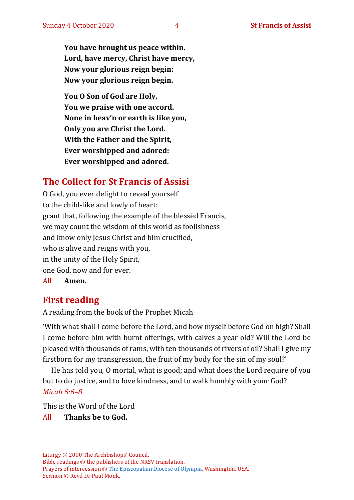**You have brought us peace within. Lord, have mercy, Christ have mercy, Now your glorious reign begin: Now your glorious reign begin.**

**You O Son of God are Holy, You we praise with one accord. None in heav'n or earth is like you, Only you are Christ the Lord. With the Father and the Spirit, Ever worshipped and adored: Ever worshipped and adored.**

## **The Collect for St Francis of Assisi**

O God, you ever delight to reveal yourself to the child-like and lowly of heart: grant that, following the example of the blessèd Francis, we may count the wisdom of this world as foolishness and know only Jesus Christ and him crucified, who is alive and reigns with you, in the unity of the Holy Spirit, one God, now and for ever.

All **Amen.**

## **First reading**

A reading from the book of the Prophet Micah

'With what shall I come before the Lord, and bow myself before God on high? Shall I come before him with burnt offerings, with calves a year old? Will the Lord be pleased with thousands of rams, with ten thousands of rivers of oil? Shall I give my firstborn for my transgression, the fruit of my body for the sin of my soul?'

He has told you, O mortal, what is good; and what does the Lord require of you but to do justice, and to love kindness, and to walk humbly with your God? *Micah 6:6–8*

This is the Word of the Lord

#### All **Thanks be to God.**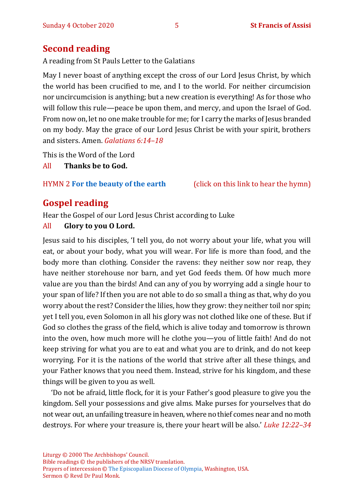## **Second reading**

A reading from St Pauls Letter to the Galatians

May I never boast of anything except the cross of our Lord Jesus Christ, by which the world has been crucified to me, and I to the world. For neither circumcision nor uncircumcision is anything; but a new creation is everything! As for those who will follow this rule—peace be upon them, and mercy, and upon the Israel of God. From now on, let no one make trouble for me; for I carry the marks of Jesus branded on my body. May the grace of our Lord Jesus Christ be with your spirit, brothers and sisters. Amen. *Galatians 6:14–18*

This is the Word of the Lord

All **Thanks be to God.**

#### HYMN 2 **[For the beauty of the earth](https://www.youtube.com/watch?v=olbOTeR0dlY)** (click on this link to hear the hymn)

## **Gospel reading**

Hear the Gospel of our Lord Jesus Christ according to Luke

#### All **Glory to you O Lord.**

Jesus said to his disciples, 'I tell you, do not worry about your life, what you will eat, or about your body, what you will wear. For life is more than food, and the body more than clothing. Consider the ravens: they neither sow nor reap, they have neither storehouse nor barn, and yet God feeds them. Of how much more value are you than the birds! And can any of you by worrying add a single hour to your span of life? If then you are not able to do so small a thing as that, why do you worry about the rest? Consider the lilies, how they grow: they neither toil nor spin; yet I tell you, even Solomon in all his glory was not clothed like one of these. But if God so clothes the grass of the field, which is alive today and tomorrow is thrown into the oven, how much more will he clothe you—you of little faith! And do not keep striving for what you are to eat and what you are to drink, and do not keep worrying. For it is the nations of the world that strive after all these things, and your Father knows that you need them. Instead, strive for his kingdom, and these things will be given to you as well.

'Do not be afraid, little flock, for it is your Father's good pleasure to give you the kingdom. Sell your possessions and give alms. Make purses for yourselves that do not wear out, an unfailing treasure in heaven, where no thief comes near and no moth destroys. For where your treasure is, there your heart will be also.' *Luke 12:22–34*

Liturgy © 2000 The Archbishops' Council.

Bible readings © the publishers of the NRSV translation.

Prayers of intercession © [The Episcopalian Diocese of Olympia,](https://resources.ecww.org/sites/default/files/resources/St.FrancisDayBCELiturgyResources.pdf) Washington, USA. Sermon © Revd Dr Paul Monk.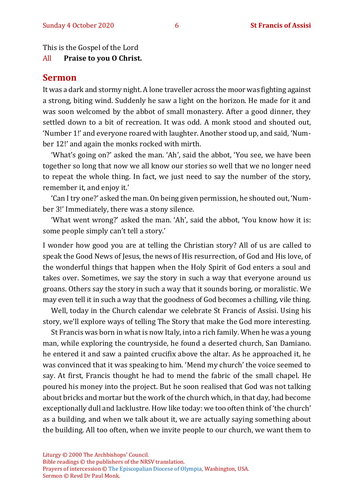This is the Gospel of the Lord

All **Praise to you O Christ.** 

### **Sermon**

It was a dark and stormy night. A lone traveller across the moor was fighting against a strong, biting wind. Suddenly he saw a light on the horizon. He made for it and was soon welcomed by the abbot of small monastery. After a good dinner, they settled down to a bit of recreation. It was odd. A monk stood and shouted out, 'Number 1!' and everyone roared with laughter. Another stood up, and said, 'Number 12!' and again the monks rocked with mirth.

'What's going on?' asked the man. 'Ah', said the abbot, 'You see, we have been together so long that now we all know our stories so well that we no longer need to repeat the whole thing. In fact, we just need to say the number of the story, remember it, and enjoy it.'

'Can I try one?' asked the man. On being given permission, he shouted out, 'Number 3!' Immediately, there was a stony silence.

'What went wrong?' asked the man. 'Ah', said the abbot, 'You know how it is: some people simply can't tell a story.'

I wonder how good you are at telling the Christian story? All of us are called to speak the Good News of Jesus, the news of His resurrection, of God and His love, of the wonderful things that happen when the Holy Spirit of God enters a soul and takes over. Sometimes, we say the story in such a way that everyone around us groans. Others say the story in such a way that it sounds boring, or moralistic. We may even tell it in such a way that the goodness of God becomes a chilling, vile thing.

Well, today in the Church calendar we celebrate St Francis of Assisi. Using his story, we'll explore ways of telling The Story that make the God more interesting.

St Francis was born in what is now Italy, into a rich family. When he was a young man, while exploring the countryside, he found a deserted church, San Damiano. he entered it and saw a painted crucifix above the altar. As he approached it, he was convinced that it was speaking to him. 'Mend my church' the voice seemed to say. At first, Francis thought he had to mend the fabric of the small chapel. He poured his money into the project. But he soon realised that God was not talking about bricks and mortar but the work of the church which, in that day, had become exceptionally dull and lacklustre. How like today: we too often think of 'the church' as a building, and when we talk about it, we are actually saying something about the building. All too often, when we invite people to our church, we want them to

Liturgy © 2000 The Archbishops' Council.

Prayers of intercession © [The Episcopalian Diocese of Olympia,](https://resources.ecww.org/sites/default/files/resources/St.FrancisDayBCELiturgyResources.pdf) Washington, USA. Sermon © Revd Dr Paul Monk.

Bible readings © the publishers of the NRSV translation.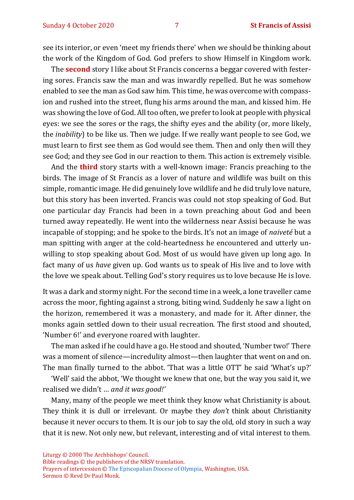see its interior, or even 'meet my friends there' when we should be thinking about the work of the Kingdom of God. God prefers to show Himself in Kingdom work.

The **second** story I like about St Francis concerns a beggar covered with festering sores. Francis saw the man and was inwardly repelled. But he was somehow enabled to see the man as God saw him. This time, he was overcome with compassion and rushed into the street, flung his arms around the man, and kissed him. He was showing the love of God. All too often, we prefer to look at people with physical eyes: we see the sores or the rags, the shifty eyes and the ability (or, more likely, the *inability*) to be like us. Then we judge. If we really want people to see God, we must learn to first see them as God would see them. Then and only then will they see God; and they see God in our reaction to them. This action is extremely visible.

And the **third** story starts with a well-known image: Francis preaching to the birds. The image of St Francis as a lover of nature and wildlife was built on this simple, romantic image. He did genuinely love wildlife and he did truly love nature, but this story has been inverted. Francis was could not stop speaking of God. But one particular day Francis had been in a town preaching about God and been turned away repeatedly. He went into the wilderness near Assisi because he was incapable of stopping; and he spoke to the birds. It's not an image of *naiveté* but a man spitting with anger at the cold-heartedness he encountered and utterly unwilling to stop speaking about God. Most of us would have given up long ago. In fact many of us *have* given up. God wants us to speak of His live and to love with the love we speak about. Telling God's story requires us to love because He is love.

It was a dark and stormy night. For the second time in a week, a lone traveller came across the moor, fighting against a strong, biting wind. Suddenly he saw a light on the horizon, remembered it was a monastery, and made for it. After dinner, the monks again settled down to their usual recreation. The first stood and shouted, 'Number 6!' and everyone roared with laughter.

The man asked if he could have a go. He stood and shouted, 'Number two!' There was a moment of silence—incredulity almost—then laughter that went on and on. The man finally turned to the abbot. 'That was a little OTT' he said 'What's up?'

'Well' said the abbot, 'We thought we knew that one, but the way you said it, we realised we didn't … *and it was good!'*

Many, many of the people we meet think they know what Christianity is about. They think it is dull or irrelevant. Or maybe they *don't* think about Christianity because it never occurs to them. It is our job to say the old, old story in such a way that it is new. Not only new, but relevant, interesting and of vital interest to them.

Liturgy © 2000 The Archbishops' Council.

Bible readings © the publishers of the NRSV translation.

Prayers of intercession © [The Episcopalian Diocese of Olympia,](https://resources.ecww.org/sites/default/files/resources/St.FrancisDayBCELiturgyResources.pdf) Washington, USA. Sermon © Revd Dr Paul Monk.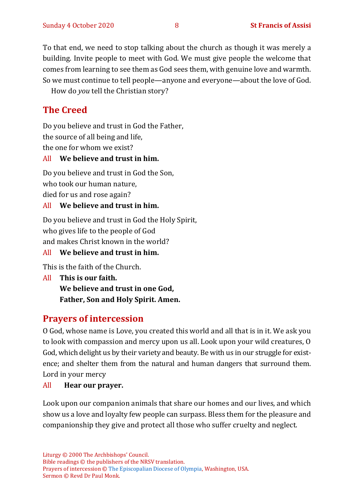To that end, we need to stop talking about the church as though it was merely a building. Invite people to meet with God. We must give people the welcome that comes from learning to see them as God sees them, with genuine love and warmth. So we must continue to tell people—anyone and everyone—about the love of God.

How do *you* tell the Christian story?

## **The Creed**

Do you believe and trust in God the Father, the source of all being and life, the one for whom we exist?

#### All **We believe and trust in him.**

Do you believe and trust in God the Son, who took our human nature, died for us and rose again?

#### All **We believe and trust in him.**

Do you believe and trust in God the Holy Spirit, who gives life to the people of God and makes Christ known in the world?

#### All **We believe and trust in him.**

This is the faith of the Church.

All **This is our faith. We believe and trust in one God, Father, Son and Holy Spirit. Amen.**

## **Prayers of intercession**

O God, whose name is Love, you created this world and all that is in it. We ask you to look with compassion and mercy upon us all. Look upon your wild creatures, O God, which delight us by their variety and beauty. Be with us in our struggle for existence; and shelter them from the natural and human dangers that surround them. Lord in your mercy

#### All **Hear our prayer.**

Look upon our companion animals that share our homes and our lives, and which show us a love and loyalty few people can surpass. Bless them for the pleasure and companionship they give and protect all those who suffer cruelty and neglect.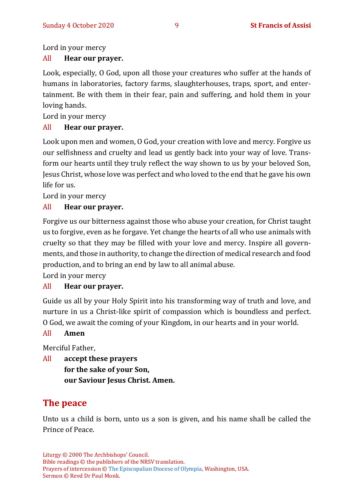Lord in your mercy

#### All **Hear our prayer.**

Look, especially, O God, upon all those your creatures who suffer at the hands of humans in laboratories, factory farms, slaughterhouses, traps, sport, and entertainment. Be with them in their fear, pain and suffering, and hold them in your loving hands.

Lord in your mercy

#### All **Hear our prayer.**

Look upon men and women, O God, your creation with love and mercy. Forgive us our selfishness and cruelty and lead us gently back into your way of love. Transform our hearts until they truly reflect the way shown to us by your beloved Son, Jesus Christ, whose love was perfect and who loved to the end that he gave his own life for us.

Lord in your mercy

#### All **Hear our prayer.**

Forgive us our bitterness against those who abuse your creation, for Christ taught us to forgive, even as he forgave. Yet change the hearts of all who use animals with cruelty so that they may be filled with your love and mercy. Inspire all governments, and those in authority, to change the direction of medical research and food production, and to bring an end by law to all animal abuse.

Lord in your mercy

#### All **Hear our prayer.**

Guide us all by your Holy Spirit into his transforming way of truth and love, and nurture in us a Christ-like spirit of compassion which is boundless and perfect. O God, we await the coming of your Kingdom, in our hearts and in your world.

All **Amen**

Merciful Father,

All **accept these prayers for the sake of your Son, our Saviour Jesus Christ. Amen.**

## **The peace**

Unto us a child is born, unto us a son is given, and his name shall be called the Prince of Peace.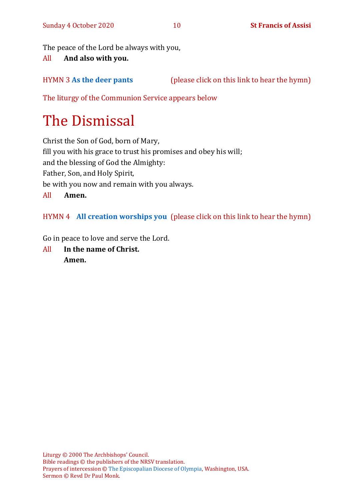The peace of the Lord be always with you,

#### All **And also with you.**

HYMN 3 **[As the deer pants](https://youtu.be/peZudXt9faU)** (please click on this link to hear the hymn)

The liturgy of the Communion Service appears below

# The Dismissal

Christ the Son of God, born of Mary, fill you with his grace to trust his promises and obey his will; and the blessing of God the Almighty: Father, Son, and Holy Spirit, be with you now and remain with you always. All **Amen.**

HYMN 4 **[All creation worships you](https://www.youtube.com/watch?v=jE6GNhjS34A)** (please click on this link to hear the hymn)

Go in peace to love and serve the Lord.

All **In the name of Christ. Amen.**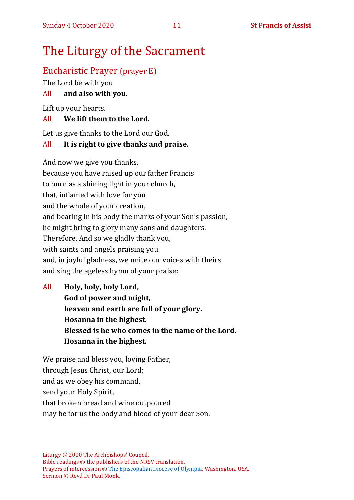## Eucharistic Prayer (prayer E)

The Lord be with you

#### All **and also with you.**

Lift up your hearts.

#### All **We lift them to the Lord.**

Let us give thanks to the Lord our God.

#### All **It is right to give thanks and praise.**

And now we give you thanks, because you have raised up our father Francis to burn as a shining light in your church, that, inflamed with love for you and the whole of your creation, and bearing in his body the marks of your Son's passion, he might bring to glory many sons and daughters. Therefore, And so we gladly thank you, with saints and angels praising you and, in joyful gladness, we unite our voices with theirs and sing the ageless hymn of your praise:

All **Holy, holy, holy Lord, God of power and might, heaven and earth are full of your glory. Hosanna in the highest. Blessed is he who comes in the name of the Lord. Hosanna in the highest.**

We praise and bless you, loving Father, through Jesus Christ, our Lord; and as we obey his command, send your Holy Spirit, that broken bread and wine outpoured may be for us the body and blood of your dear Son.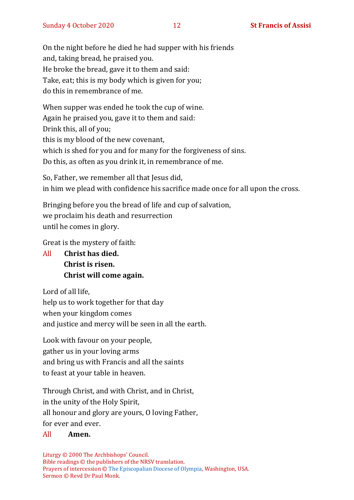On the night before he died he had supper with his friends and, taking bread, he praised you. He broke the bread, gave it to them and said: Take, eat; this is my body which is given for you; do this in remembrance of me.

When supper was ended he took the cup of wine. Again he praised you, gave it to them and said: Drink this, all of you; this is my blood of the new covenant, which is shed for you and for many for the forgiveness of sins. Do this, as often as you drink it, in remembrance of me.

So, Father, we remember all that Jesus did, in him we plead with confidence his sacrifice made once for all upon the cross.

Bringing before you the bread of life and cup of salvation, we proclaim his death and resurrection until he comes in glory.

Great is the mystery of faith:

All **Christ has died. Christ is risen. Christ will come again.**

Lord of all life, help us to work together for that day when your kingdom comes and justice and mercy will be seen in all the earth.

Look with favour on your people, gather us in your loving arms and bring us with Francis and all the saints to feast at your table in heaven.

Through Christ, and with Christ, and in Christ, in the unity of the Holy Spirit, all honour and glory are yours, O loving Father, for ever and ever.

#### All **Amen.**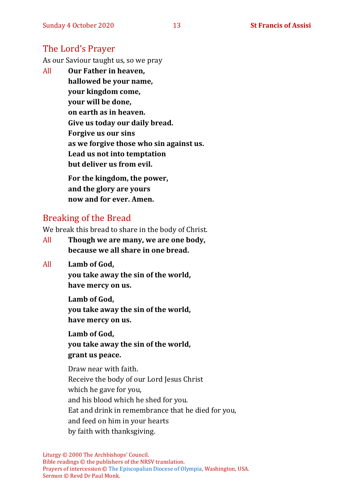## The Lord's Prayer

As our Saviour taught us, so we pray

All **Our Father in heaven, hallowed be your name, your kingdom come, your will be done, on earth as in heaven. Give us today our daily bread. Forgive us our sins as we forgive those who sin against us. Lead us not into temptation but deliver us from evil. For the kingdom, the power, and the glory are yours**

Breaking of the Bread

We break this bread to share in the body of Christ.

**now and for ever. Amen.**

- All **Though we are many, we are one body, because we all share in one bread.**
- All **Lamb of God,**

**you take away the sin of the world, have mercy on us.**

**Lamb of God, you take away the sin of the world, have mercy on us.**

**Lamb of God, you take away the sin of the world, grant us peace.**

Draw near with faith. Receive the body of our Lord Jesus Christ which he gave for you, and his blood which he shed for you. Eat and drink in remembrance that he died for you, and feed on him in your hearts by faith with thanksgiving.